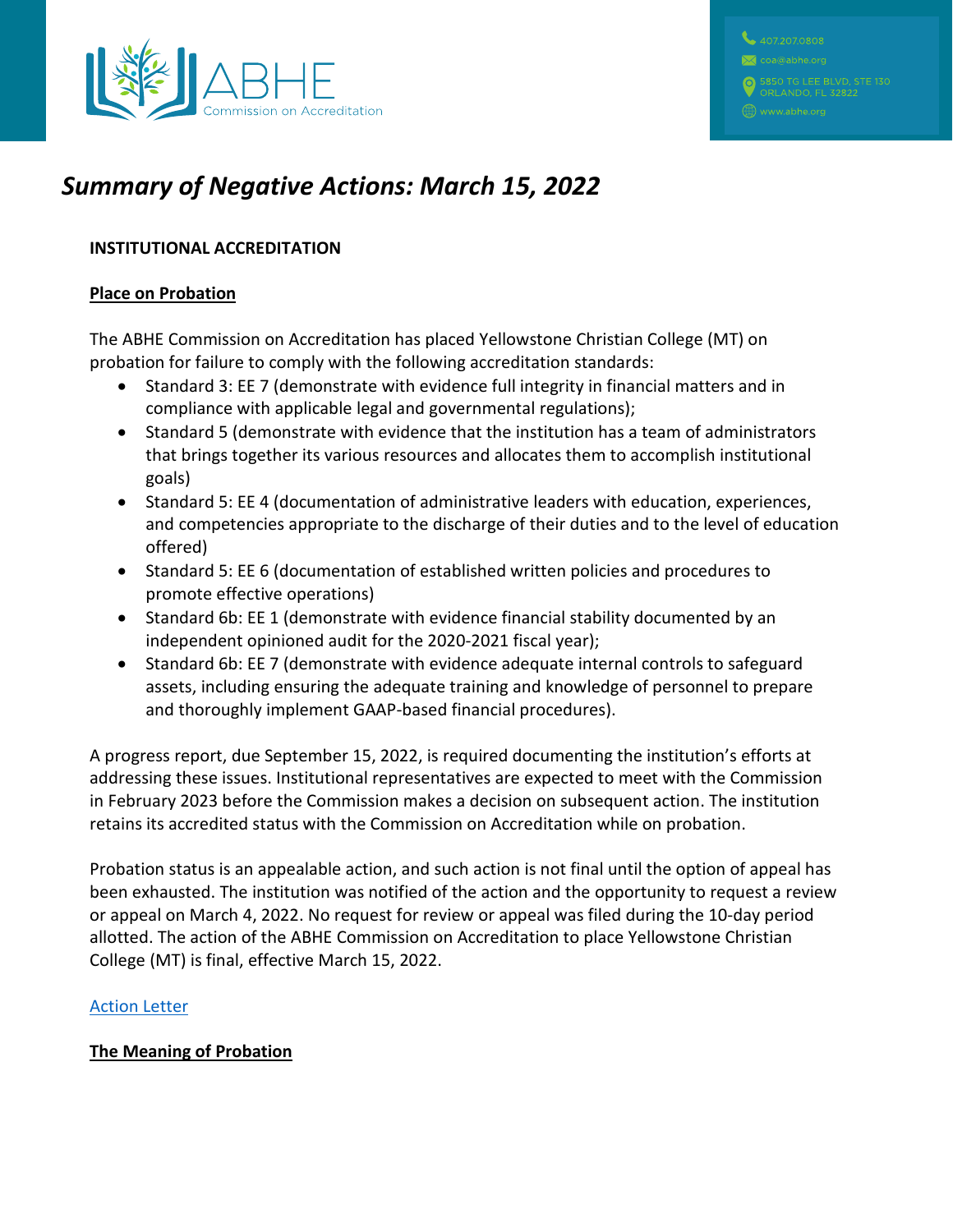

# *Summary of Negative Actions: March 15, 2022*

## **INSTITUTIONAL ACCREDITATION**

### **Place on Probation**

The ABHE Commission on Accreditation has placed Yellowstone Christian College (MT) on probation for failure to comply with the following accreditation standards:

- Standard 3: EE 7 (demonstrate with evidence full integrity in financial matters and in compliance with applicable legal and governmental regulations);
- Standard 5 (demonstrate with evidence that the institution has a team of administrators that brings together its various resources and allocates them to accomplish institutional goals)
- Standard 5: EE 4 (documentation of administrative leaders with education, experiences, and competencies appropriate to the discharge of their duties and to the level of education offered)
- Standard 5: EE 6 (documentation of established written policies and procedures to promote effective operations)
- Standard 6b: EE 1 (demonstrate with evidence financial stability documented by an independent opinioned audit for the 2020-2021 fiscal year);
- Standard 6b: EE 7 (demonstrate with evidence adequate internal controls to safeguard assets, including ensuring the adequate training and knowledge of personnel to prepare and thoroughly implement GAAP-based financial procedures).

A progress report, due September 15, 2022, is required documenting the institution's efforts at addressing these issues. Institutional representatives are expected to meet with the Commission in February 2023 before the Commission makes a decision on subsequent action. The institution retains its accredited status with the Commission on Accreditation while on probation.

Probation status is an appealable action, and such action is not final until the option of appeal has been exhausted. The institution was notified of the action and the opportunity to request a review or appeal on March 4, 2022. No request for review or appeal was filed during the 10-day period allotted. The action of the ABHE Commission on Accreditation to place Yellowstone Christian College (MT) is final, effective March 15, 2022.

## [Action Letter](https://www.abhe.org/wp-content/uploads/2022/03/2022.AXN-Yellowstone-Christian-MT-FINAL-Probation_Redacted.pdf)

## **The Meaning of Probation**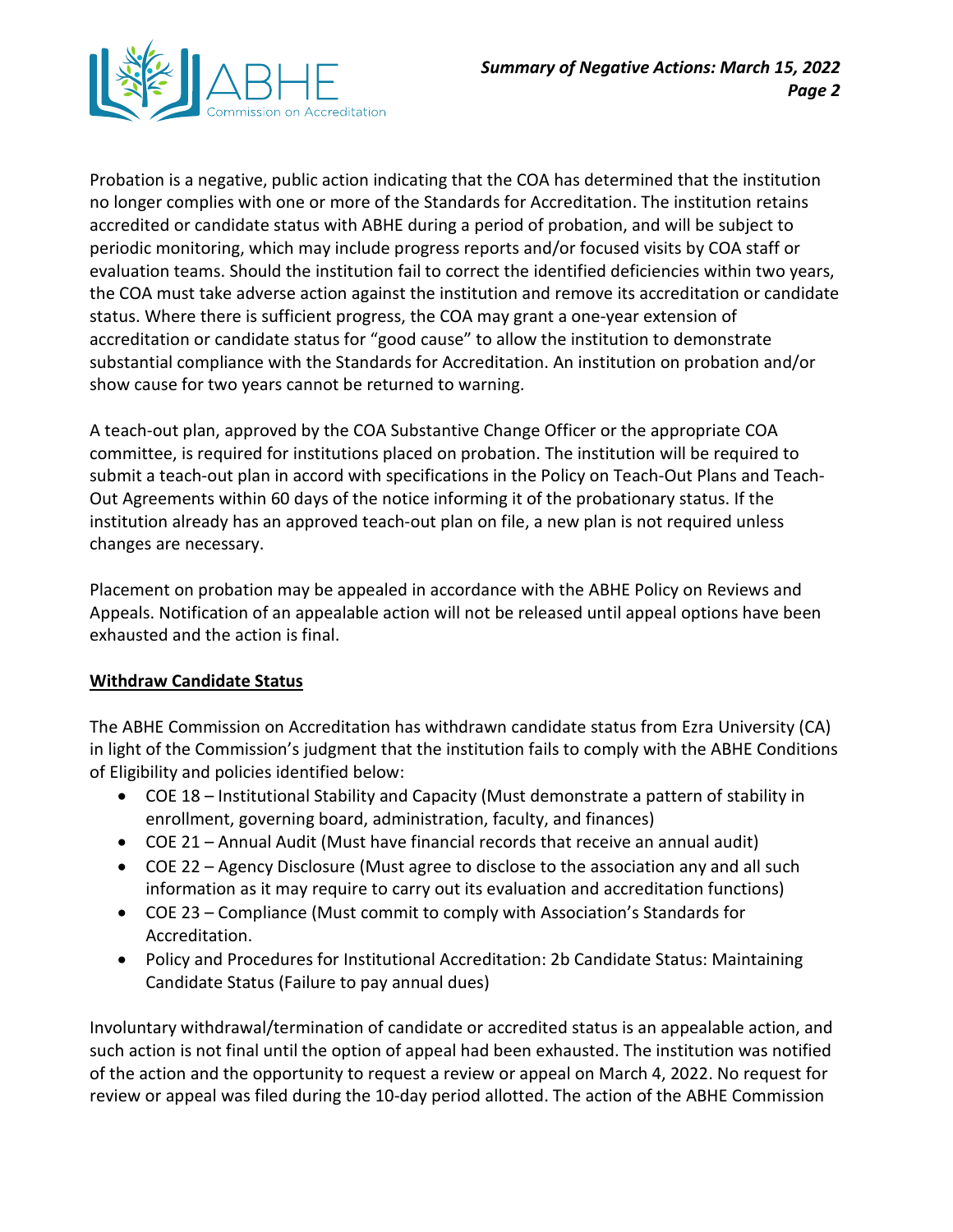

Probation is a negative, public action indicating that the COA has determined that the institution no longer complies with one or more of the Standards for Accreditation. The institution retains accredited or candidate status with ABHE during a period of probation, and will be subject to periodic monitoring, which may include progress reports and/or focused visits by COA staff or evaluation teams. Should the institution fail to correct the identified deficiencies within two years, the COA must take adverse action against the institution and remove its accreditation or candidate status. Where there is sufficient progress, the COA may grant a one-year extension of accreditation or candidate status for "good cause" to allow the institution to demonstrate substantial compliance with the Standards for Accreditation. An institution on probation and/or show cause for two years cannot be returned to warning.

A teach-out plan, approved by the COA Substantive Change Officer or the appropriate COA committee, is required for institutions placed on probation. The institution will be required to submit a teach-out plan in accord with specifications in the Policy on Teach-Out Plans and Teach-Out Agreements within 60 days of the notice informing it of the probationary status. If the institution already has an approved teach-out plan on file, a new plan is not required unless changes are necessary.

Placement on probation may be appealed in accordance with the ABHE Policy on Reviews and Appeals. Notification of an appealable action will not be released until appeal options have been exhausted and the action is final.

## **Withdraw Candidate Status**

The ABHE Commission on Accreditation has withdrawn candidate status from Ezra University (CA) in light of the Commission's judgment that the institution fails to comply with the ABHE Conditions of Eligibility and policies identified below:

- COE 18 Institutional Stability and Capacity (Must demonstrate a pattern of stability in enrollment, governing board, administration, faculty, and finances)
- COE 21 Annual Audit (Must have financial records that receive an annual audit)
- COE 22 Agency Disclosure (Must agree to disclose to the association any and all such information as it may require to carry out its evaluation and accreditation functions)
- COE 23 Compliance (Must commit to comply with Association's Standards for Accreditation.
- Policy and Procedures for Institutional Accreditation: 2b Candidate Status: Maintaining Candidate Status (Failure to pay annual dues)

Involuntary withdrawal/termination of candidate or accredited status is an appealable action, and such action is not final until the option of appeal had been exhausted. The institution was notified of the action and the opportunity to request a review or appeal on March 4, 2022. No request for review or appeal was filed during the 10-day period allotted. The action of the ABHE Commission